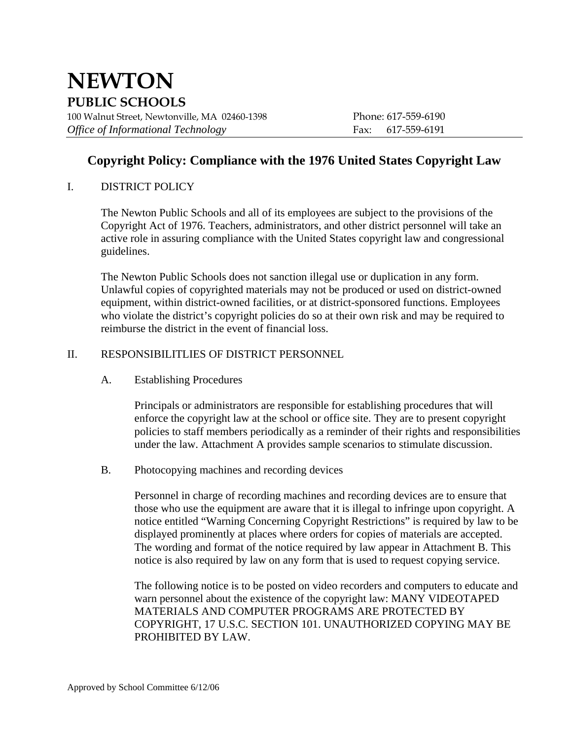# **NEWTON PUBLIC SCHOOLS**

100 Walnut Street, Newtonville, MA 02460-1398 Phone: 617-559-6190 *Office of Informational Technology* Fax: 617-559-6191

# **Copyright Policy: Compliance with the 1976 United States Copyright Law**

# I. DISTRICT POLICY

The Newton Public Schools and all of its employees are subject to the provisions of the Copyright Act of 1976. Teachers, administrators, and other district personnel will take an active role in assuring compliance with the United States copyright law and congressional guidelines.

 The Newton Public Schools does not sanction illegal use or duplication in any form. Unlawful copies of copyrighted materials may not be produced or used on district-owned equipment, within district-owned facilities, or at district-sponsored functions. Employees who violate the district's copyright policies do so at their own risk and may be required to reimburse the district in the event of financial loss.

## II. RESPONSIBILITLIES OF DISTRICT PERSONNEL

A. Establishing Procedures

Principals or administrators are responsible for establishing procedures that will enforce the copyright law at the school or office site. They are to present copyright policies to staff members periodically as a reminder of their rights and responsibilities under the law. Attachment A provides sample scenarios to stimulate discussion.

B. Photocopying machines and recording devices

Personnel in charge of recording machines and recording devices are to ensure that those who use the equipment are aware that it is illegal to infringe upon copyright. A notice entitled "Warning Concerning Copyright Restrictions" is required by law to be displayed prominently at places where orders for copies of materials are accepted. The wording and format of the notice required by law appear in Attachment B. This notice is also required by law on any form that is used to request copying service.

The following notice is to be posted on video recorders and computers to educate and warn personnel about the existence of the copyright law: MANY VIDEOTAPED MATERIALS AND COMPUTER PROGRAMS ARE PROTECTED BY COPYRIGHT, 17 U.S.C. SECTION 101. UNAUTHORIZED COPYING MAY BE PROHIBITED BY LAW.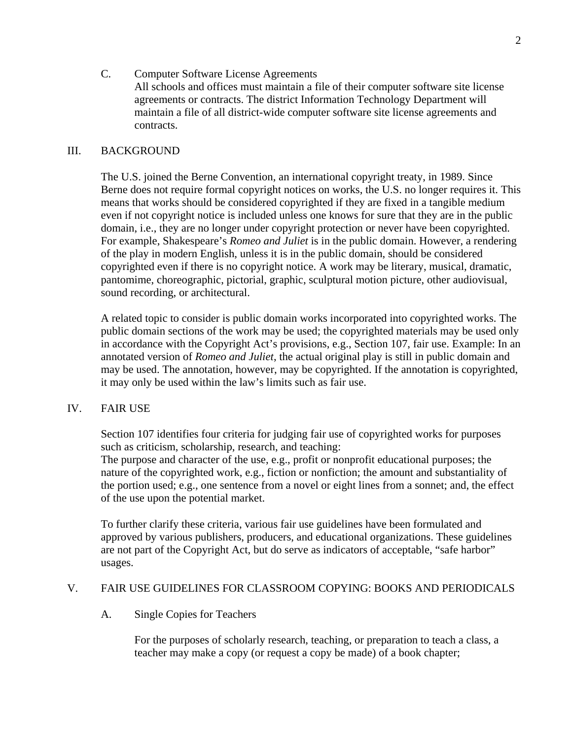C. Computer Software License Agreements All schools and offices must maintain a file of their computer software site license agreements or contracts. The district Information Technology Department will maintain a file of all district-wide computer software site license agreements and contracts.

#### III. BACKGROUND

The U.S. joined the Berne Convention, an international copyright treaty, in 1989. Since Berne does not require formal copyright notices on works, the U.S. no longer requires it. This means that works should be considered copyrighted if they are fixed in a tangible medium even if not copyright notice is included unless one knows for sure that they are in the public domain, i.e., they are no longer under copyright protection or never have been copyrighted. For example, Shakespeare's *Romeo and Juliet* is in the public domain. However, a rendering of the play in modern English, unless it is in the public domain, should be considered copyrighted even if there is no copyright notice. A work may be literary, musical, dramatic, pantomime, choreographic, pictorial, graphic, sculptural motion picture, other audiovisual, sound recording, or architectural.

A related topic to consider is public domain works incorporated into copyrighted works. The public domain sections of the work may be used; the copyrighted materials may be used only in accordance with the Copyright Act's provisions, e.g., Section 107, fair use. Example: In an annotated version of *Romeo and Juliet*, the actual original play is still in public domain and may be used. The annotation, however, may be copyrighted. If the annotation is copyrighted, it may only be used within the law's limits such as fair use.

#### IV. FAIR USE

Section 107 identifies four criteria for judging fair use of copyrighted works for purposes such as criticism, scholarship, research, and teaching:

The purpose and character of the use, e.g., profit or nonprofit educational purposes; the nature of the copyrighted work, e.g., fiction or nonfiction; the amount and substantiality of the portion used; e.g., one sentence from a novel or eight lines from a sonnet; and, the effect of the use upon the potential market.

To further clarify these criteria, various fair use guidelines have been formulated and approved by various publishers, producers, and educational organizations. These guidelines are not part of the Copyright Act, but do serve as indicators of acceptable, "safe harbor" usages.

#### V. FAIR USE GUIDELINES FOR CLASSROOM COPYING: BOOKS AND PERIODICALS

#### A. Single Copies for Teachers

For the purposes of scholarly research, teaching, or preparation to teach a class, a teacher may make a copy (or request a copy be made) of a book chapter;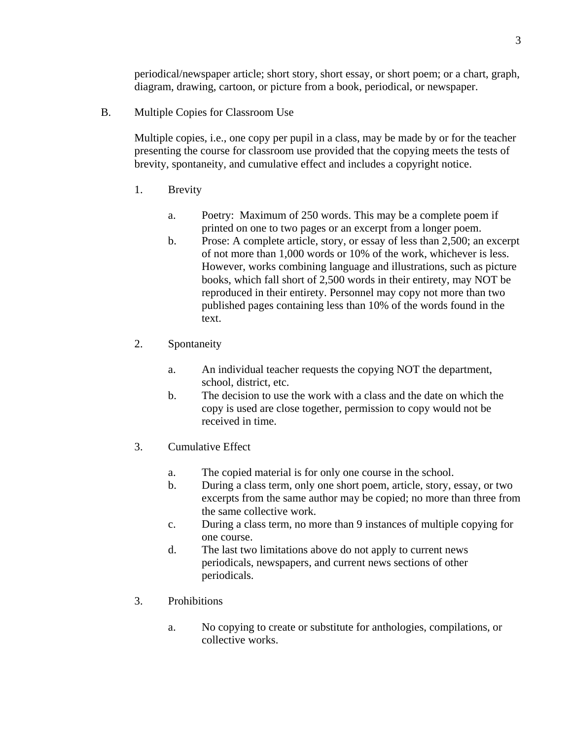periodical/newspaper article; short story, short essay, or short poem; or a chart, graph, diagram, drawing, cartoon, or picture from a book, periodical, or newspaper.

B. Multiple Copies for Classroom Use

Multiple copies, i.e., one copy per pupil in a class, may be made by or for the teacher presenting the course for classroom use provided that the copying meets the tests of brevity, spontaneity, and cumulative effect and includes a copyright notice.

- 1. Brevity
	- a. Poetry: Maximum of 250 words. This may be a complete poem if printed on one to two pages or an excerpt from a longer poem.
	- b. Prose: A complete article, story, or essay of less than 2,500; an excerpt of not more than 1,000 words or 10% of the work, whichever is less. However, works combining language and illustrations, such as picture books, which fall short of 2,500 words in their entirety, may NOT be reproduced in their entirety. Personnel may copy not more than two published pages containing less than 10% of the words found in the text.
- 2. Spontaneity
	- a. An individual teacher requests the copying NOT the department, school, district, etc.
	- b. The decision to use the work with a class and the date on which the copy is used are close together, permission to copy would not be received in time.
- 3. Cumulative Effect
	- a. The copied material is for only one course in the school.
	- b. During a class term, only one short poem, article, story, essay, or two excerpts from the same author may be copied; no more than three from the same collective work.
	- c. During a class term, no more than 9 instances of multiple copying for one course.
	- d. The last two limitations above do not apply to current news periodicals, newspapers, and current news sections of other periodicals.
- 3. Prohibitions
	- a. No copying to create or substitute for anthologies, compilations, or collective works.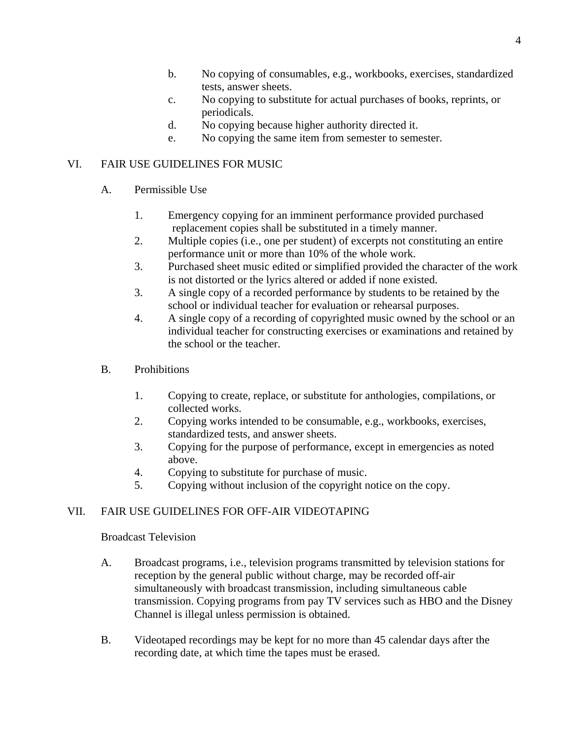- b. No copying of consumables, e.g., workbooks, exercises, standardized tests, answer sheets.
- c. No copying to substitute for actual purchases of books, reprints, or periodicals.
- d. No copying because higher authority directed it.
- e. No copying the same item from semester to semester.

## VI. FAIR USE GUIDELINES FOR MUSIC

- A. Permissible Use
	- 1. Emergency copying for an imminent performance provided purchased replacement copies shall be substituted in a timely manner.
	- 2. Multiple copies (i.e., one per student) of excerpts not constituting an entire performance unit or more than 10% of the whole work.
	- 3. Purchased sheet music edited or simplified provided the character of the work is not distorted or the lyrics altered or added if none existed.
	- 3. A single copy of a recorded performance by students to be retained by the school or individual teacher for evaluation or rehearsal purposes.
	- 4. A single copy of a recording of copyrighted music owned by the school or an individual teacher for constructing exercises or examinations and retained by the school or the teacher.
- B. Prohibitions
	- 1. Copying to create, replace, or substitute for anthologies, compilations, or collected works.
	- 2. Copying works intended to be consumable, e.g., workbooks, exercises, standardized tests, and answer sheets.
	- 3. Copying for the purpose of performance, except in emergencies as noted above.
	- 4. Copying to substitute for purchase of music.
	- 5. Copying without inclusion of the copyright notice on the copy.

# VII. FAIR USE GUIDELINES FOR OFF-AIR VIDEOTAPING

### Broadcast Television

- A. Broadcast programs, i.e., television programs transmitted by television stations for reception by the general public without charge, may be recorded off-air simultaneously with broadcast transmission, including simultaneous cable transmission. Copying programs from pay TV services such as HBO and the Disney Channel is illegal unless permission is obtained.
- B. Videotaped recordings may be kept for no more than 45 calendar days after the recording date, at which time the tapes must be erased.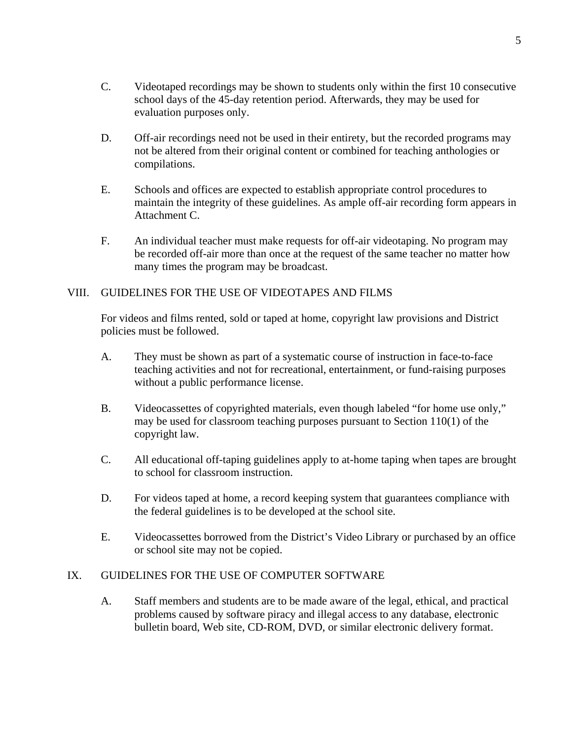- C. Videotaped recordings may be shown to students only within the first 10 consecutive school days of the 45-day retention period. Afterwards, they may be used for evaluation purposes only.
- D. Off-air recordings need not be used in their entirety, but the recorded programs may not be altered from their original content or combined for teaching anthologies or compilations.
- E. Schools and offices are expected to establish appropriate control procedures to maintain the integrity of these guidelines. As ample off-air recording form appears in Attachment C.
- F. An individual teacher must make requests for off-air videotaping. No program may be recorded off-air more than once at the request of the same teacher no matter how many times the program may be broadcast.

# VIII. GUIDELINES FOR THE USE OF VIDEOTAPES AND FILMS

For videos and films rented, sold or taped at home, copyright law provisions and District policies must be followed.

- A. They must be shown as part of a systematic course of instruction in face-to-face teaching activities and not for recreational, entertainment, or fund-raising purposes without a public performance license.
- B. Videocassettes of copyrighted materials, even though labeled "for home use only," may be used for classroom teaching purposes pursuant to Section 110(1) of the copyright law.
- C. All educational off-taping guidelines apply to at-home taping when tapes are brought to school for classroom instruction.
- D. For videos taped at home, a record keeping system that guarantees compliance with the federal guidelines is to be developed at the school site.
- E. Videocassettes borrowed from the District's Video Library or purchased by an office or school site may not be copied.

### IX. GUIDELINES FOR THE USE OF COMPUTER SOFTWARE

A. Staff members and students are to be made aware of the legal, ethical, and practical problems caused by software piracy and illegal access to any database, electronic bulletin board, Web site, CD-ROM, DVD, or similar electronic delivery format.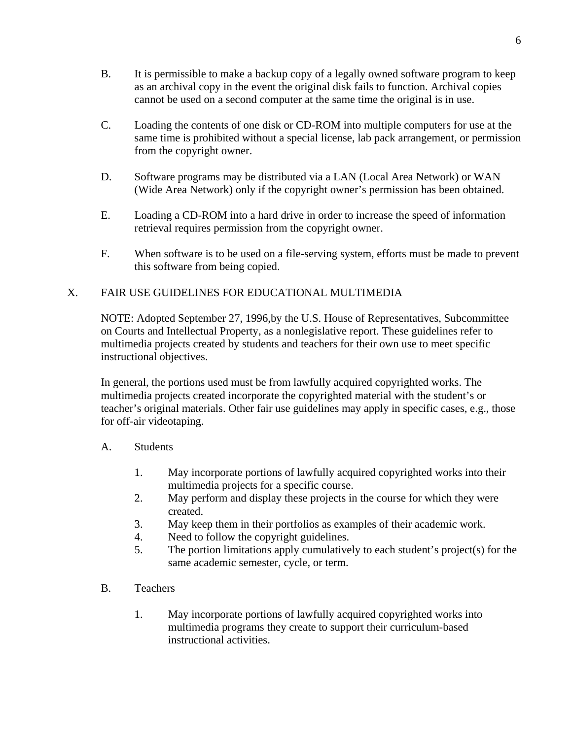- B. It is permissible to make a backup copy of a legally owned software program to keep as an archival copy in the event the original disk fails to function. Archival copies cannot be used on a second computer at the same time the original is in use.
- C. Loading the contents of one disk or CD-ROM into multiple computers for use at the same time is prohibited without a special license, lab pack arrangement, or permission from the copyright owner.
- D. Software programs may be distributed via a LAN (Local Area Network) or WAN (Wide Area Network) only if the copyright owner's permission has been obtained.
- E. Loading a CD-ROM into a hard drive in order to increase the speed of information retrieval requires permission from the copyright owner.
- F. When software is to be used on a file-serving system, efforts must be made to prevent this software from being copied.

# X. FAIR USE GUIDELINES FOR EDUCATIONAL MULTIMEDIA

NOTE: Adopted September 27, 1996,by the U.S. House of Representatives, Subcommittee on Courts and Intellectual Property, as a nonlegislative report. These guidelines refer to multimedia projects created by students and teachers for their own use to meet specific instructional objectives.

In general, the portions used must be from lawfully acquired copyrighted works. The multimedia projects created incorporate the copyrighted material with the student's or teacher's original materials. Other fair use guidelines may apply in specific cases, e.g., those for off-air videotaping.

### A. Students

- 1. May incorporate portions of lawfully acquired copyrighted works into their multimedia projects for a specific course.
- 2. May perform and display these projects in the course for which they were created.
- 3. May keep them in their portfolios as examples of their academic work.
- 4. Need to follow the copyright guidelines.
- 5. The portion limitations apply cumulatively to each student's project(s) for the same academic semester, cycle, or term.
- B. Teachers
	- 1. May incorporate portions of lawfully acquired copyrighted works into multimedia programs they create to support their curriculum-based instructional activities.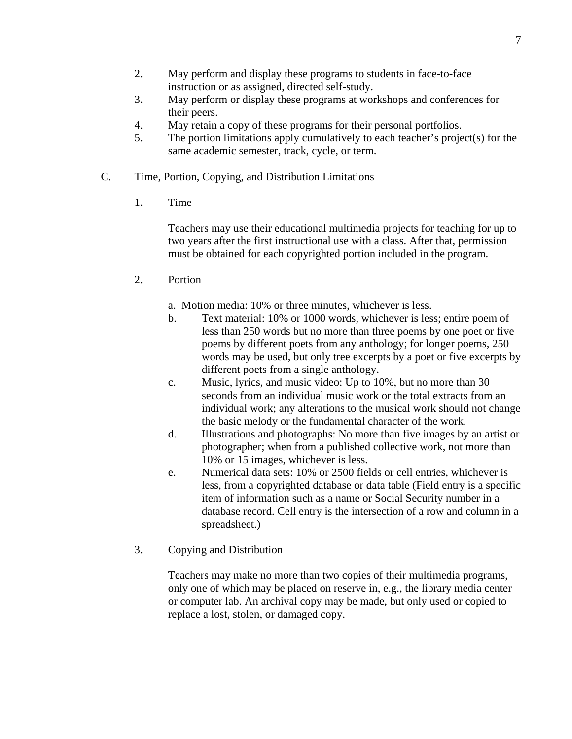- 2. May perform and display these programs to students in face-to-face instruction or as assigned, directed self-study.
- 3. May perform or display these programs at workshops and conferences for their peers.
- 4. May retain a copy of these programs for their personal portfolios.
- 5. The portion limitations apply cumulatively to each teacher's project(s) for the same academic semester, track, cycle, or term.
- C. Time, Portion, Copying, and Distribution Limitations
	- 1. Time

Teachers may use their educational multimedia projects for teaching for up to two years after the first instructional use with a class. After that, permission must be obtained for each copyrighted portion included in the program.

- 2. Portion
	- a. Motion media: 10% or three minutes, whichever is less.
	- b. Text material: 10% or 1000 words, whichever is less; entire poem of less than 250 words but no more than three poems by one poet or five poems by different poets from any anthology; for longer poems, 250 words may be used, but only tree excerpts by a poet or five excerpts by different poets from a single anthology.
	- c. Music, lyrics, and music video: Up to 10%, but no more than 30 seconds from an individual music work or the total extracts from an individual work; any alterations to the musical work should not change the basic melody or the fundamental character of the work.
	- d. Illustrations and photographs: No more than five images by an artist or photographer; when from a published collective work, not more than 10% or 15 images, whichever is less.
	- e. Numerical data sets: 10% or 2500 fields or cell entries, whichever is less, from a copyrighted database or data table (Field entry is a specific item of information such as a name or Social Security number in a database record. Cell entry is the intersection of a row and column in a spreadsheet.)
- 3. Copying and Distribution

Teachers may make no more than two copies of their multimedia programs, only one of which may be placed on reserve in, e.g., the library media center or computer lab. An archival copy may be made, but only used or copied to replace a lost, stolen, or damaged copy.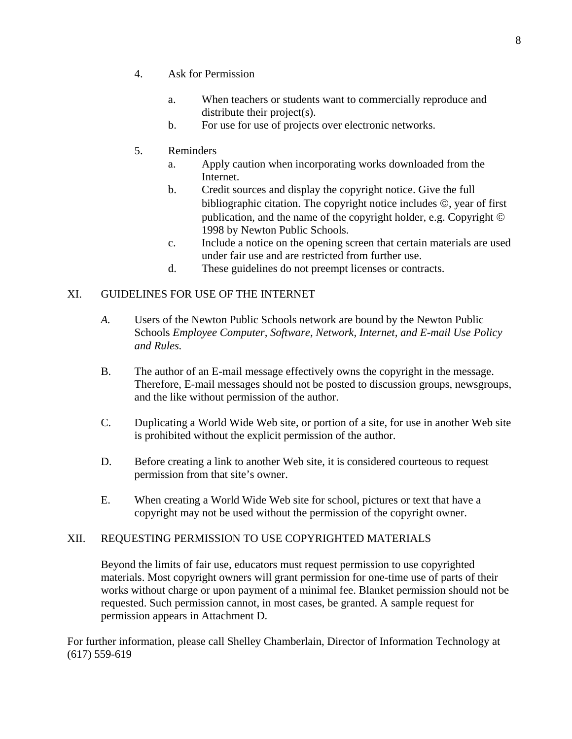- 4. Ask for Permission
	- a. When teachers or students want to commercially reproduce and distribute their project(s).
	- b. For use for use of projects over electronic networks.
- 5. Reminders
	- a. Apply caution when incorporating works downloaded from the Internet.
	- b. Credit sources and display the copyright notice. Give the full bibliographic citation. The copyright notice includes ©, year of first publication, and the name of the copyright holder, e.g. Copyright © 1998 by Newton Public Schools.
	- c. Include a notice on the opening screen that certain materials are used under fair use and are restricted from further use.
	- d. These guidelines do not preempt licenses or contracts.

# XI. GUIDELINES FOR USE OF THE INTERNET

- *A.* Users of the Newton Public Schools network are bound by the Newton Public Schools *Employee Computer, Software, Network, Internet, and E-mail Use Policy and Rules.*
- B. The author of an E-mail message effectively owns the copyright in the message. Therefore, E-mail messages should not be posted to discussion groups, newsgroups, and the like without permission of the author.
- C. Duplicating a World Wide Web site, or portion of a site, for use in another Web site is prohibited without the explicit permission of the author.
- D. Before creating a link to another Web site, it is considered courteous to request permission from that site's owner.
- E. When creating a World Wide Web site for school, pictures or text that have a copyright may not be used without the permission of the copyright owner.

# XII. REQUESTING PERMISSION TO USE COPYRIGHTED MATERIALS

Beyond the limits of fair use, educators must request permission to use copyrighted materials. Most copyright owners will grant permission for one-time use of parts of their works without charge or upon payment of a minimal fee. Blanket permission should not be requested. Such permission cannot, in most cases, be granted. A sample request for permission appears in Attachment D.

For further information, please call Shelley Chamberlain, Director of Information Technology at (617) 559-619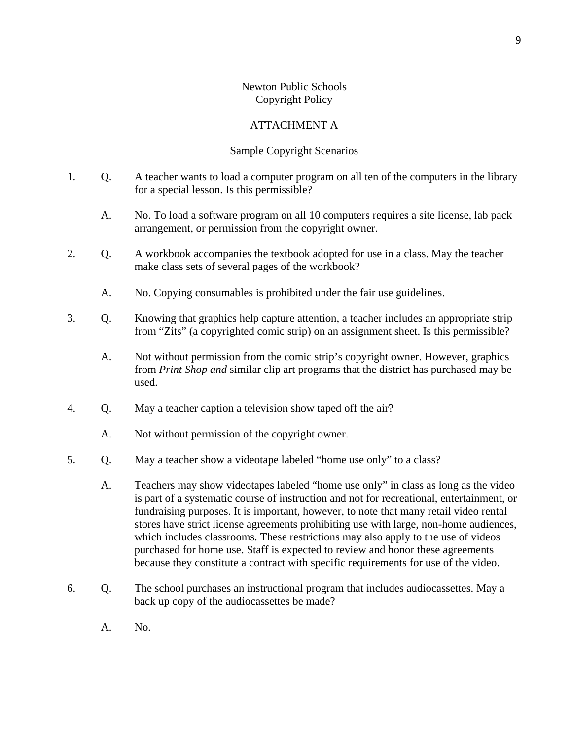# Newton Public Schools Copyright Policy

# ATTACHMENT A

## Sample Copyright Scenarios

- 1. Q. A teacher wants to load a computer program on all ten of the computers in the library for a special lesson. Is this permissible?
	- A. No. To load a software program on all 10 computers requires a site license, lab pack arrangement, or permission from the copyright owner.
- 2. Q. A workbook accompanies the textbook adopted for use in a class. May the teacher make class sets of several pages of the workbook?
	- A. No. Copying consumables is prohibited under the fair use guidelines.
- 3. Q. Knowing that graphics help capture attention, a teacher includes an appropriate strip from "Zits" (a copyrighted comic strip) on an assignment sheet. Is this permissible?
	- A. Not without permission from the comic strip's copyright owner. However, graphics from *Print Shop and* similar clip art programs that the district has purchased may be used.
- 4. Q. May a teacher caption a television show taped off the air?
	- A. Not without permission of the copyright owner.
- 5. Q. May a teacher show a videotape labeled "home use only" to a class?
	- A. Teachers may show videotapes labeled "home use only" in class as long as the video is part of a systematic course of instruction and not for recreational, entertainment, or fundraising purposes. It is important, however, to note that many retail video rental stores have strict license agreements prohibiting use with large, non-home audiences, which includes classrooms. These restrictions may also apply to the use of videos purchased for home use. Staff is expected to review and honor these agreements because they constitute a contract with specific requirements for use of the video.
- 6. Q. The school purchases an instructional program that includes audiocassettes. May a back up copy of the audiocassettes be made?
	- A. No.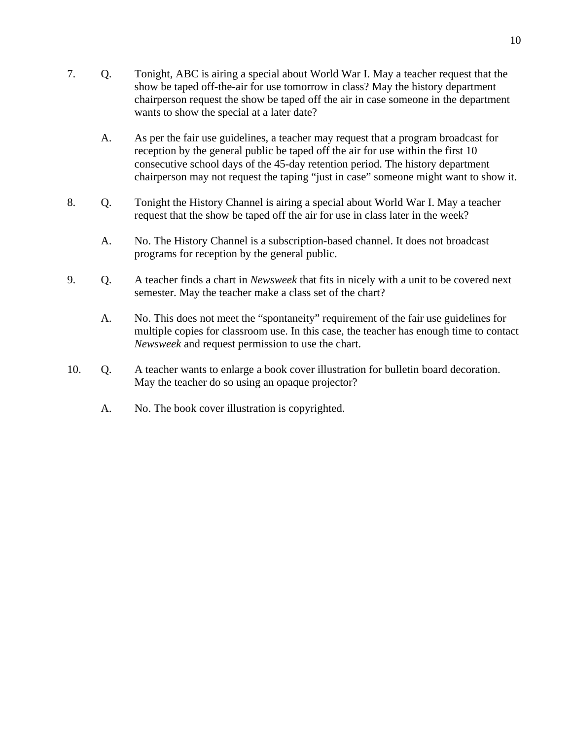- A. As per the fair use guidelines, a teacher may request that a program broadcast for reception by the general public be taped off the air for use within the first 10 consecutive school days of the 45-day retention period. The history department chairperson may not request the taping "just in case" someone might want to show it.
- 8. Q. Tonight the History Channel is airing a special about World War I. May a teacher request that the show be taped off the air for use in class later in the week?
	- A. No. The History Channel is a subscription-based channel. It does not broadcast programs for reception by the general public.
- 9. Q. A teacher finds a chart in *Newsweek* that fits in nicely with a unit to be covered next semester. May the teacher make a class set of the chart?
	- A. No. This does not meet the "spontaneity" requirement of the fair use guidelines for multiple copies for classroom use. In this case, the teacher has enough time to contact *Newsweek* and request permission to use the chart.
- 10. Q. A teacher wants to enlarge a book cover illustration for bulletin board decoration. May the teacher do so using an opaque projector?
	- A. No. The book cover illustration is copyrighted.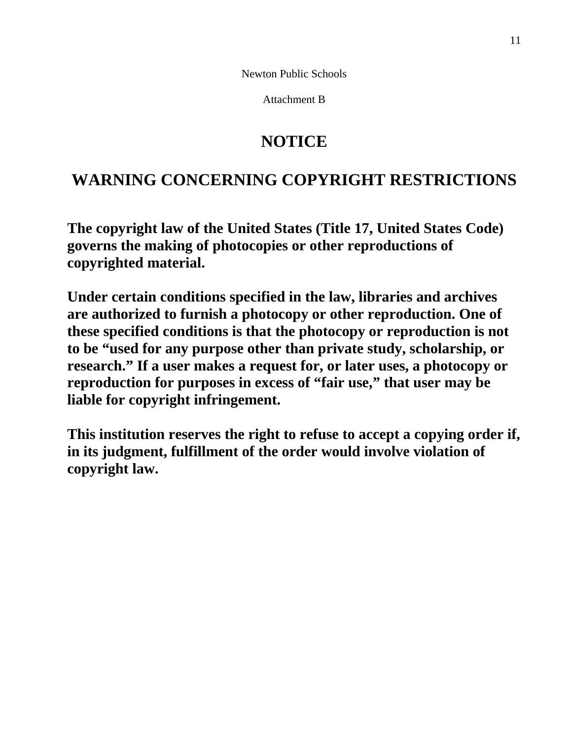Newton Public Schools

Attachment B

# **NOTICE**

# **WARNING CONCERNING COPYRIGHT RESTRICTIONS**

**The copyright law of the United States (Title 17, United States Code) governs the making of photocopies or other reproductions of copyrighted material.** 

**Under certain conditions specified in the law, libraries and archives are authorized to furnish a photocopy or other reproduction. One of these specified conditions is that the photocopy or reproduction is not to be "used for any purpose other than private study, scholarship, or research." If a user makes a request for, or later uses, a photocopy or reproduction for purposes in excess of "fair use," that user may be liable for copyright infringement.** 

**This institution reserves the right to refuse to accept a copying order if, in its judgment, fulfillment of the order would involve violation of copyright law.**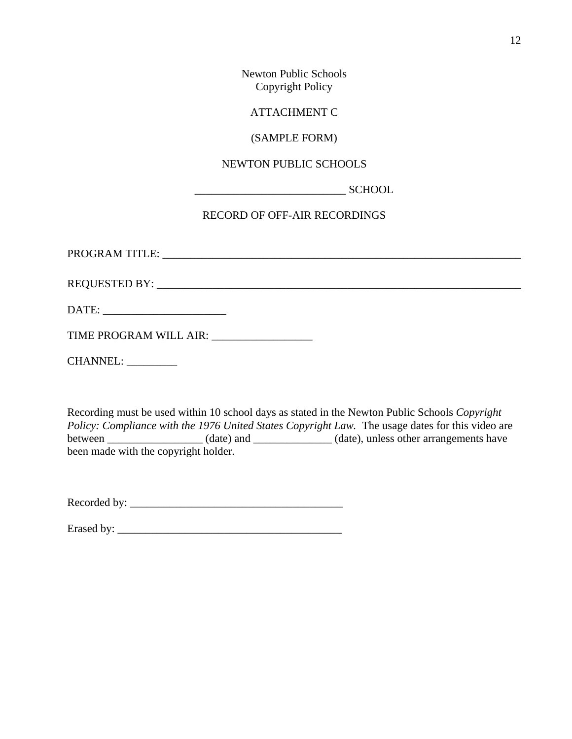Newton Public Schools Copyright Policy

ATTACHMENT C

## (SAMPLE FORM)

# NEWTON PUBLIC SCHOOLS

\_\_\_\_\_\_\_\_\_\_\_\_\_\_\_\_\_\_\_\_\_\_\_\_\_\_\_ SCHOOL

# RECORD OF OFF-AIR RECORDINGS

PROGRAM TITLE: \_\_\_\_\_\_\_\_\_\_\_\_\_\_\_\_\_\_\_\_\_\_\_\_\_\_\_\_\_\_\_\_\_\_\_\_\_\_\_\_\_\_\_\_\_\_\_\_\_\_\_\_\_\_\_\_\_\_\_\_\_\_\_\_

REQUESTED BY: \_\_\_\_\_\_\_\_\_\_\_\_\_\_\_\_\_\_\_\_\_\_\_\_\_\_\_\_\_\_\_\_\_\_\_\_\_\_\_\_\_\_\_\_\_\_\_\_\_\_\_\_\_\_\_\_\_\_\_\_\_\_\_\_\_

DATE: \_\_\_\_\_\_\_\_\_\_\_\_\_\_\_\_\_\_\_\_\_\_

TIME PROGRAM WILL AIR: \_\_\_\_\_\_\_\_\_\_\_\_\_\_\_\_\_\_

CHANNEL: \_\_\_\_\_\_\_\_\_

Recording must be used within 10 school days as stated in the Newton Public Schools *Copyright Policy: Compliance with the 1976 United States Copyright Law.* The usage dates for this video are between \_\_\_\_\_\_\_\_\_\_\_\_\_\_\_\_\_\_ (date) and \_\_\_\_\_\_\_\_\_\_\_\_\_ (date), unless other arrangements have been made with the copyright holder.

Recorded by: \_\_\_\_\_\_\_\_\_\_\_\_\_\_\_\_\_\_\_\_\_\_\_\_\_\_\_\_\_\_\_\_\_\_\_\_\_\_

Erased by: \_\_\_\_\_\_\_\_\_\_\_\_\_\_\_\_\_\_\_\_\_\_\_\_\_\_\_\_\_\_\_\_\_\_\_\_\_\_\_\_